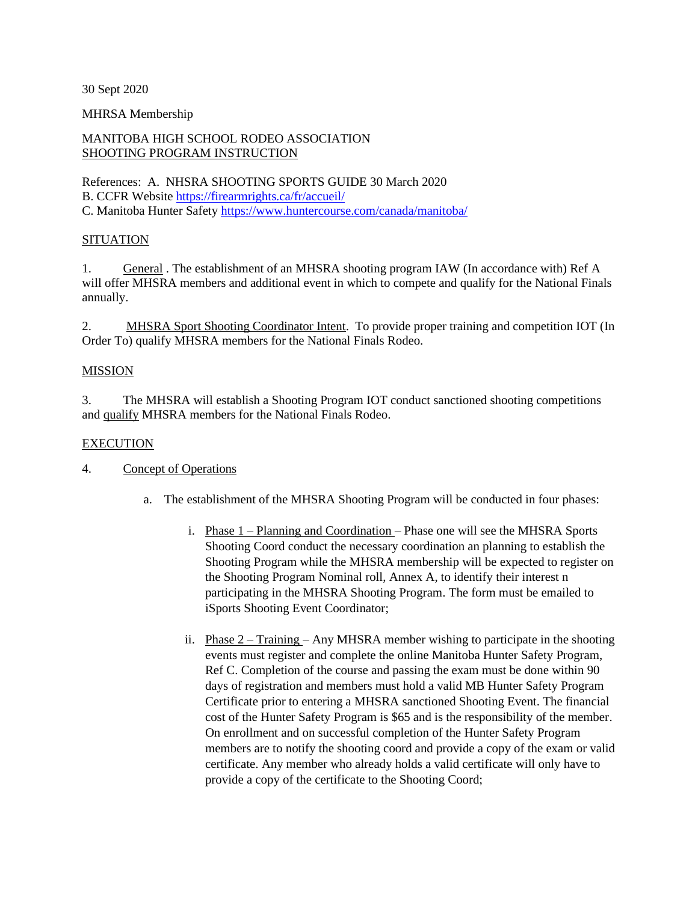30 Sept 2020

### MHRSA Membership

# MANITOBA HIGH SCHOOL RODEO ASSOCIATION SHOOTING PROGRAM INSTRUCTION

References: A. NHSRA SHOOTING SPORTS GUIDE 30 March 2020 B. CCFR Website<https://firearmrights.ca/fr/accueil/> C. Manitoba Hunter Safety<https://www.huntercourse.com/canada/manitoba/>

## **SITUATION**

1. General . The establishment of an MHSRA shooting program IAW (In accordance with) Ref A will offer MHSRA members and additional event in which to compete and qualify for the National Finals annually.

2. MHSRA Sport Shooting Coordinator Intent. To provide proper training and competition IOT (In Order To) qualify MHSRA members for the National Finals Rodeo.

### MISSION

3. The MHSRA will establish a Shooting Program IOT conduct sanctioned shooting competitions and qualify MHSRA members for the National Finals Rodeo.

## **EXECUTION**

4. Concept of Operations

- a. The establishment of the MHSRA Shooting Program will be conducted in four phases:
	- i. Phase 1 Planning and Coordination Phase one will see the MHSRA Sports Shooting Coord conduct the necessary coordination an planning to establish the Shooting Program while the MHSRA membership will be expected to register on the Shooting Program Nominal roll, Annex A, to identify their interest n participating in the MHSRA Shooting Program. The form must be emailed to iSports Shooting Event Coordinator;
	- ii. Phase  $2 \text{Training} \text{Any MHSRA member wishing to participate in the shooting}$ events must register and complete the online Manitoba Hunter Safety Program, Ref C. Completion of the course and passing the exam must be done within 90 days of registration and members must hold a valid MB Hunter Safety Program Certificate prior to entering a MHSRA sanctioned Shooting Event. The financial cost of the Hunter Safety Program is \$65 and is the responsibility of the member. On enrollment and on successful completion of the Hunter Safety Program members are to notify the shooting coord and provide a copy of the exam or valid certificate. Any member who already holds a valid certificate will only have to provide a copy of the certificate to the Shooting Coord;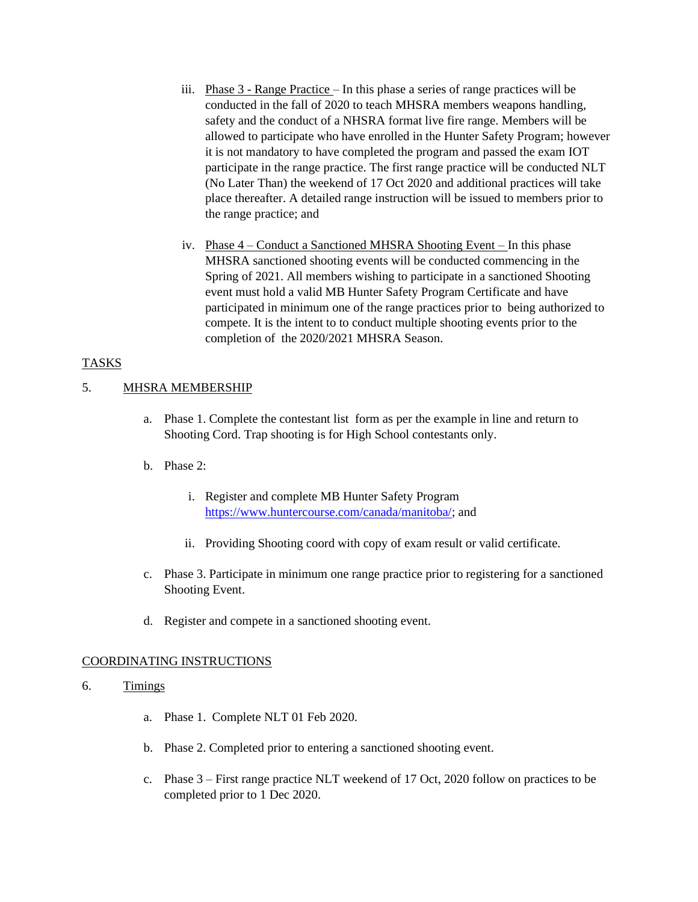- iii. Phase 3 Range Practice In this phase a series of range practices will be conducted in the fall of 2020 to teach MHSRA members weapons handling, safety and the conduct of a NHSRA format live fire range. Members will be allowed to participate who have enrolled in the Hunter Safety Program; however it is not mandatory to have completed the program and passed the exam IOT participate in the range practice. The first range practice will be conducted NLT (No Later Than) the weekend of 17 Oct 2020 and additional practices will take place thereafter. A detailed range instruction will be issued to members prior to the range practice; and
- iv. Phase 4 Conduct a Sanctioned MHSRA Shooting Event In this phase MHSRA sanctioned shooting events will be conducted commencing in the Spring of 2021. All members wishing to participate in a sanctioned Shooting event must hold a valid MB Hunter Safety Program Certificate and have participated in minimum one of the range practices prior to being authorized to compete. It is the intent to to conduct multiple shooting events prior to the completion of the 2020/2021 MHSRA Season.

## TASKS

### 5. MHSRA MEMBERSHIP

- a. Phase 1. Complete the contestant list form as per the example in line and return to Shooting Cord. Trap shooting is for High School contestants only.
- b. Phase 2:
	- i. Register and complete MB Hunter Safety Program [https://www.huntercourse.com/canada/manitoba/;](https://www.huntercourse.com/canada/manitoba/) and
	- ii. Providing Shooting coord with copy of exam result or valid certificate.
- c. Phase 3. Participate in minimum one range practice prior to registering for a sanctioned Shooting Event.
- d. Register and compete in a sanctioned shooting event.

### COORDINATING INSTRUCTIONS

- 6. Timings
	- a. Phase 1. Complete NLT 01 Feb 2020.
	- b. Phase 2. Completed prior to entering a sanctioned shooting event.
	- c. Phase 3 First range practice NLT weekend of 17 Oct, 2020 follow on practices to be completed prior to 1 Dec 2020.